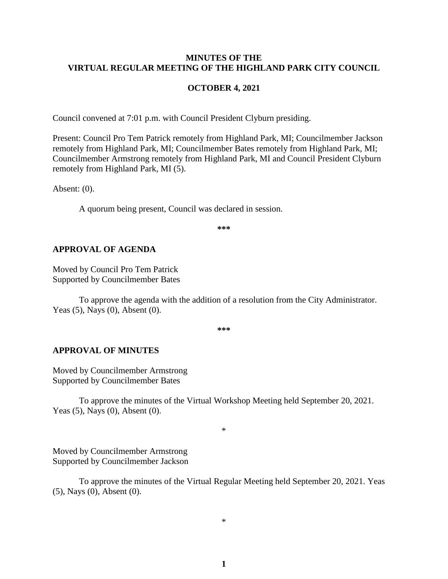### **MINUTES OF THE VIRTUAL REGULAR MEETING OF THE HIGHLAND PARK CITY COUNCIL**

#### **OCTOBER 4, 2021**

Council convened at 7:01 p.m. with Council President Clyburn presiding.

Present: Council Pro Tem Patrick remotely from Highland Park, MI; Councilmember Jackson remotely from Highland Park, MI; Councilmember Bates remotely from Highland Park, MI; Councilmember Armstrong remotely from Highland Park, MI and Council President Clyburn remotely from Highland Park, MI (5).

Absent: (0).

A quorum being present, Council was declared in session.

**\*\*\***

### **APPROVAL OF AGENDA**

Moved by Council Pro Tem Patrick Supported by Councilmember Bates

To approve the agenda with the addition of a resolution from the City Administrator. Yeas (5), Nays (0), Absent (0).

**\*\*\***

#### **APPROVAL OF MINUTES**

Moved by Councilmember Armstrong Supported by Councilmember Bates

To approve the minutes of the Virtual Workshop Meeting held September 20, 2021. Yeas (5), Nays (0), Absent (0).

\*

Moved by Councilmember Armstrong Supported by Councilmember Jackson

To approve the minutes of the Virtual Regular Meeting held September 20, 2021. Yeas (5), Nays (0), Absent (0).

\*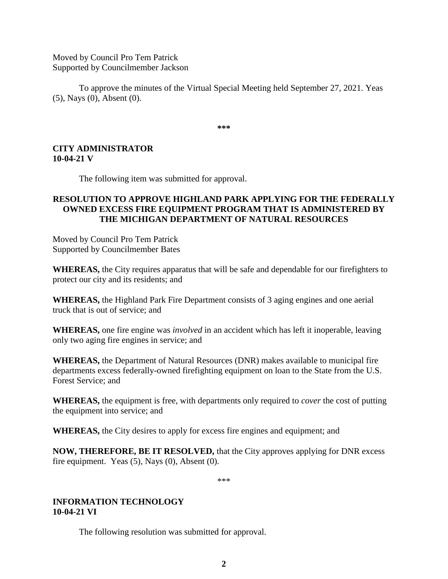Moved by Council Pro Tem Patrick Supported by Councilmember Jackson

To approve the minutes of the Virtual Special Meeting held September 27, 2021. Yeas (5), Nays (0), Absent (0).

**\*\*\***

# **CITY ADMINISTRATOR 10-04-21 V**

The following item was submitted for approval.

# **RESOLUTION TO APPROVE HIGHLAND PARK APPLYING FOR THE FEDERALLY OWNED EXCESS FIRE EQUIPMENT PROGRAM THAT IS ADMINISTERED BY THE MICHIGAN DEPARTMENT OF NATURAL RESOURCES**

Moved by Council Pro Tem Patrick Supported by Councilmember Bates

**WHEREAS,** the City requires apparatus that will be safe and dependable for our firefighters to protect our city and its residents; and

**WHEREAS,** the Highland Park Fire Department consists of 3 aging engines and one aerial truck that is out of service; and

**WHEREAS,** one fire engine was *involved* in an accident which has left it inoperable, leaving only two aging fire engines in service; and

**WHEREAS,** the Department of Natural Resources (DNR) makes available to municipal fire departments excess federally-owned firefighting equipment on loan to the State from the U.S. Forest Service; and

**WHEREAS,** the equipment is free, with departments only required to *cover* the cost of putting the equipment into service; and

**WHEREAS,** the City desires to apply for excess fire engines and equipment; and

**NOW, THEREFORE, BE IT RESOLVED,** that the City approves applying for DNR excess fire equipment.Yeas (5), Nays (0), Absent (0).

\*\*\*

## **INFORMATION TECHNOLOGY 10-04-21 VI**

The following resolution was submitted for approval.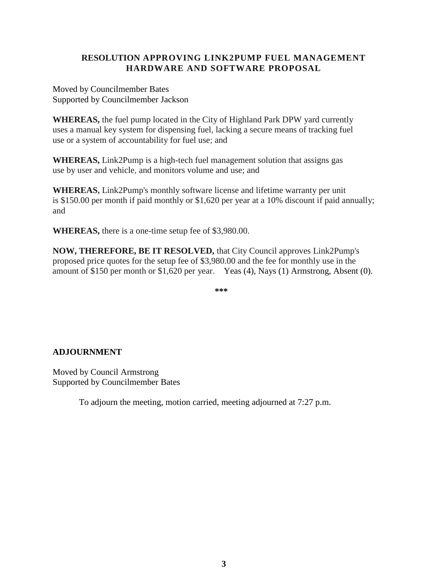# **RESOLUTION APPROVING LINK2PUMP FUEL MANAGEMENT HARDWARE AND SOFTWARE PROPOSAL**

Moved by Councilmember Bates Supported by Councilmember Jackson

**WHEREAS,** the fuel pump located in the City of Highland Park DPW yard currently uses a manual key system for dispensing fuel, lacking a secure means of tracking fuel use or a system of accountability for fuel use; and

**WHEREAS,** Link2Pump is a high-tech fuel management solution that assigns gas use by user and vehicle, and monitors volume and use; and

**WHEREAS,** Link2Pump's monthly software license and lifetime warranty per unit is \$150.00 per month if paid monthly or \$1,620 per year at a 10% discount if paid annually; and

**WHEREAS,** there is a one-time setup fee of \$3,980.00.

**NOW, THEREFORE, BE IT RESOLVED,** that City Council approves Link2Pump's proposed price quotes for the setup fee of \$3,980.00 and the fee for monthly use in the amount of \$150 per month or \$1,620 per year. Yeas (4), Nays (1) Armstrong, Absent (0).

**\*\*\***

# **ADJOURNMENT**

Moved by Council Armstrong Supported by Councilmember Bates

To adjourn the meeting, motion carried, meeting adjourned at 7:27 p.m.